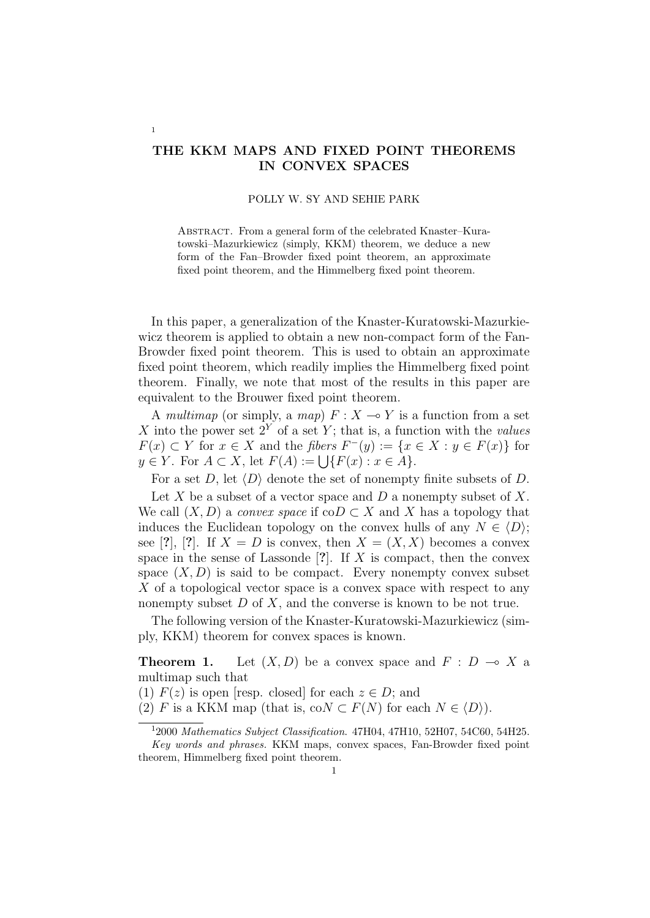## **THE KKM MAPS AND FIXED POINT THEOREMS IN CONVEX SPACES**

1

## POLLY W. SY AND SEHIE PARK

ABSTRACT. From a general form of the celebrated Knaster–Kuratowski–Mazurkiewicz (simply, KKM) theorem, we deduce a new form of the Fan–Browder fixed point theorem, an approximate fixed point theorem, and the Himmelberg fixed point theorem.

In this paper, a generalization of the Knaster-Kuratowski-Mazurkiewicz theorem is applied to obtain a new non-compact form of the Fan-Browder fixed point theorem. This is used to obtain an approximate fixed point theorem, which readily implies the Himmelberg fixed point theorem. Finally, we note that most of the results in this paper are equivalent to the Brouwer fixed point theorem.

A *multimap* (or simply, a *map*)  $F: X \to Y$  is a function from a set X into the power set  $2^Y$  of a set Y; that is, a function with the *values F*(*x*) ⊂ *Y* for *x* ∈ *X* and the *fibers*  $F^{-}(y) := \{x \in X : y \in F(x)\}\)$  for *y* ∈ *Y*. For *A* ⊂ *X*, let  $F(A) := \bigcup \{F(x) : x \in A\}.$ 

For a set *D*, let  $\langle D \rangle$  denote the set of nonempty finite subsets of *D*.

Let *X* be a subset of a vector space and *D* a nonempty subset of *X*. We call  $(X, D)$  a *convex space* if  $coD \subset X$  and X has a topology that induces the Euclidean topology on the convex hulls of any  $N \in \langle D \rangle$ ; see [?], [?]. If  $X = D$  is convex, then  $X = (X, X)$  becomes a convex space in the sense of Lassonde [**?**]. If *X* is compact, then the convex space  $(X, D)$  is said to be compact. Every nonempty convex subset X of a topological vector space is a convex space with respect to any nonempty subset *D* of *X*, and the converse is known to be not true.

The following version of the Knaster-Kuratowski-Mazurkiewicz (simply, KKM) theorem for convex spaces is known.

**Theorem 1.** Let  $(X, D)$  be a convex space and  $F : D \multimap X$  a multimap such that

(1)  $F(z)$  is open [resp. closed] for each  $z \in D$ ; and

(2) *F* is a KKM map (that is, co $N \subset F(N)$  for each  $N \in \langle D \rangle$ ).

<sup>1</sup> 2000 *Mathematics Subject Classification*. 47H04, 47H10, 52H07, 54C60, 54H25.

*Key words and phrases.* KKM maps, convex spaces, Fan-Browder fixed point theorem, Himmelberg fixed point theorem.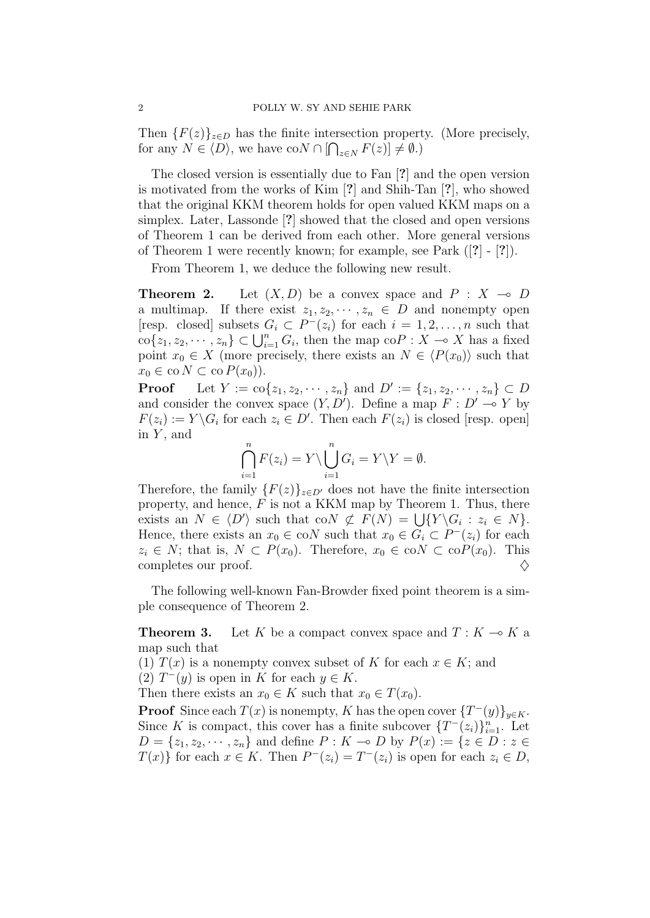Then  ${F(z)}_{z\in D}$  has the finite intersection property. (More precisely, for any  $N \in \langle D \rangle$ , we have  $\text{co}N \cap \left[ \bigcap_{z \in N} F(z) \right] \neq \emptyset$ .)

The closed version is essentially due to Fan [**?**] and the open version is motivated from the works of Kim [**?**] and Shih-Tan [**?**], who showed that the original KKM theorem holds for open valued KKM maps on a simplex. Later, Lassonde [**?**] showed that the closed and open versions of Theorem 1 can be derived from each other. More general versions of Theorem 1 were recently known; for example, see Park ([**?**] - [**?**]).

From Theorem 1, we deduce the following new result.

**Theorem 2.** Let  $(X, D)$  be a convex space and  $P : X \rightarrow D$ a multimap. If there exist  $z_1, z_2, \dots, z_n \in D$  and nonempty open [resp. closed] subsets  $G_i \subset P^-(z_i)$  for each  $i = 1, 2, \ldots, n$  such that  $\text{co}\{z_1, z_2, \cdots, z_n\} \subset \bigcup_{i=1}^n G_i$ , then the map  $\text{co}P : X \to X$  has a fixed point  $x_0 \in X$  (more precisely, there exists an  $N \in \langle P(x_0) \rangle$  such that  $x_0 \in \text{co } N \subset \text{co } P(x_0)$ .

**Proof** Let  $Y := \text{co}\{z_1, z_2, \dots, z_n\}$  and  $D' := \{z_1, z_2, \dots, z_n\} \subset D$ and consider the convex space  $(Y, D')$ . Define a map  $F: D' \to Y$  by  $F(z_i) := Y \backslash G_i$  for each  $z_i \in D'$ . Then each  $F(z_i)$  is closed [resp. open] in *Y* , and

$$
\bigcap_{i=1}^{n} F(z_i) = Y \setminus \bigcup_{i=1}^{n} G_i = Y \setminus Y = \emptyset.
$$

Therefore, the family  ${F(z)}_{z\in D'}$  does not have the finite intersection property, and hence, *F* is not a KKM map by Theorem 1. Thus, there exists an  $N \in \langle D' \rangle$  such that co $N \not\subset F(N) = \bigcup \{ Y \setminus G_i : z_i \in N \}.$ Hence, there exists an  $x_0 \in \text{co}N$  such that  $x_0 \in G_i \subset P^-(z_i)$  for each  $z_i \in N$ ; that is,  $N \subset P(x_0)$ . Therefore,  $x_0 \in \text{co}N \subset \text{co}P(x_0)$ . This completes our proof. *♢*

The following well-known Fan-Browder fixed point theorem is a simple consequence of Theorem 2.

**Theorem 3.** Let K be a compact convex space and  $T: K \to K$  a map such that

(1)  $T(x)$  is a nonempty convex subset of *K* for each  $x \in K$ ; and

(2)  $T^-(y)$  is open in *K* for each  $y \in K$ .

Then there exists an  $x_0 \in K$  such that  $x_0 \in T(x_0)$ .

**Proof** Since each  $T(x)$  is nonempty, *K* has the open cover  $\{T^-(y)\}_{y\in K}$ . Since *K* is compact, this cover has a finite subcover  $\{T^-(z_i)\}_{i=1}^n$ . Let  $D = \{z_1, z_2, \dots, z_n\}$  and define  $P : K \to D$  by  $P(x) := \{z \in D : z \in$ *T*(*x*)<sup>*}*</sup> for each *x*  $\in$  *K*. Then  $P^{-}(z_i) = T^{-}(z_i)$  is open for each  $z_i \in D$ ,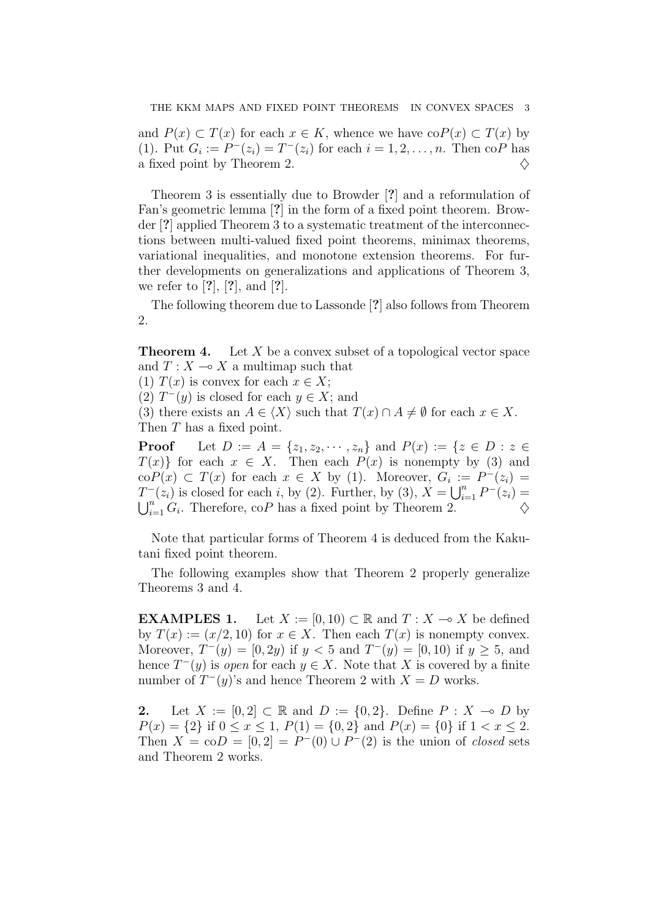and  $P(x) \subset T(x)$  for each  $x \in K$ , whence we have  $coP(x) \subset T(x)$  by (1). Put  $G_i := P^-(z_i) = T^-(z_i)$  for each  $i = 1, 2, ..., n$ . Then co*P* has a fixed point by Theorem 2.  $\Diamond$ 

Theorem 3 is essentially due to Browder [**?**] and a reformulation of Fan's geometric lemma [**?**] in the form of a fixed point theorem. Browder [**?**] applied Theorem 3 to a systematic treatment of the interconnections between multi-valued fixed point theorems, minimax theorems, variational inequalities, and monotone extension theorems. For further developments on generalizations and applications of Theorem 3, we refer to [**?**], [**?**], and [**?**].

The following theorem due to Lassonde [**?**] also follows from Theorem 2.

**Theorem 4.** Let X be a convex subset of a topological vector space and  $T: X \longrightarrow X$  a multimap such that

(1)  $T(x)$  is convex for each  $x \in X$ ;

(2)  $T^-(y)$  is closed for each  $y \in X$ ; and

(3) there exists an  $A \in \langle X \rangle$  such that  $T(x) \cap A \neq \emptyset$  for each  $x \in X$ . Then *T* has a fixed point.

**Proof** Let  $D := A = \{z_1, z_2, \dots, z_n\}$  and  $P(x) := \{z \in D : z \in$  $T(x)$ } for each  $x \in X$ . Then each  $P(x)$  is nonempty by (3) and  $\text{co}P(x) \subset T(x)$  for each  $x \in X$  by (1). Moreover,  $G_i := P^-(z_i) =$ *T*<sup>−</sup>(*z*<sub>*i*</sub>) is closed for each *i*, by (2). Further, by (3),  $X = \bigcup_{i=1}^{n} P^{-}(z_i)$  $\bigcup_{i=1}^{n} G_i$ . Therefore, co*P* has a fixed point by Theorem 2.  $\Diamond$ 

Note that particular forms of Theorem 4 is deduced from the Kakutani fixed point theorem.

The following examples show that Theorem 2 properly generalize Theorems 3 and 4.

**EXAMPLES 1.** Let  $X := [0, 10) \subset \mathbb{R}$  and  $T : X \to X$  be defined by  $T(x) := (x/2, 10)$  for  $x \in X$ . Then each  $T(x)$  is nonempty convex. Moreover,  $T^-(y) = [0, 2y)$  if  $y < 5$  and  $T^-(y) = [0, 10)$  if  $y \ge 5$ , and hence  $T^-(y)$  is *open* for each  $y \in X$ . Note that X is covered by a finite number of  $T^-(y)$ 's and hence Theorem 2 with  $X = D$  works.

**2.** Let *X* := [0,2] ⊂ R and *D* := {0,2}. Define  $P : X \to D$  by *P*(*x*) = {2} if  $0 \le x \le 1$ ,  $P(1) = \{0, 2\}$  and  $P(x) = \{0\}$  if  $1 < x \le 2$ . Then  $X = \text{co}D = [0, 2] = P^-(0) \cup P^-(2)$  is the union of *closed* sets and Theorem 2 works.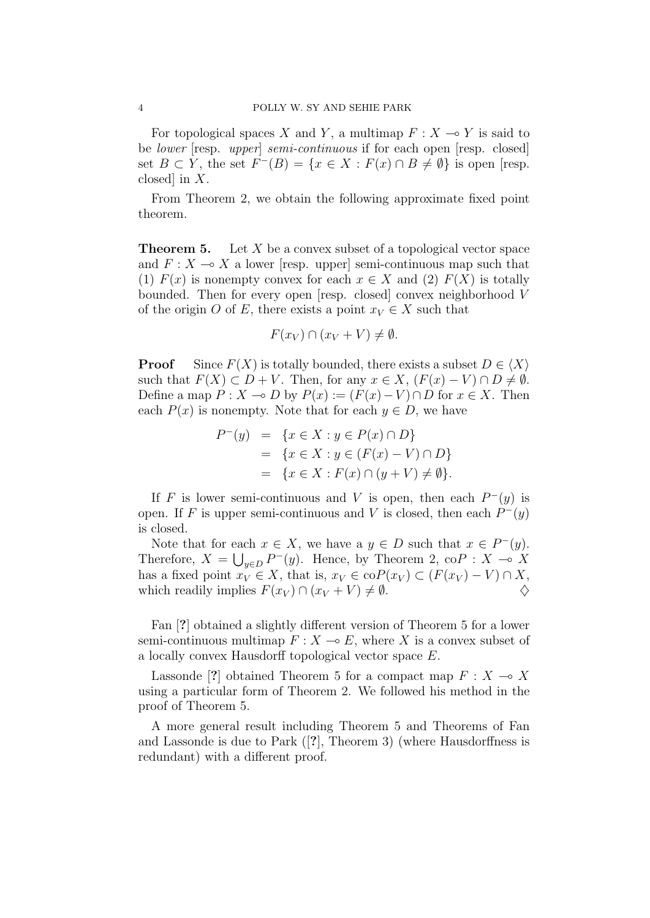For topological spaces *X* and *Y*, a multimap  $F: X \to Y$  is said to be *lower* [resp. *upper*] *semi-continuous* if for each open [resp. closed] set *B* ⊂ *Y*, the set  $F^{-}(B) = \{x \in X : F(x) \cap B \neq \emptyset\}$  is open [resp. closed] in *X*.

From Theorem 2, we obtain the following approximate fixed point theorem.

**Theorem 5.** Let X be a convex subset of a topological vector space and  $F: X \longrightarrow X$  a lower [resp. upper] semi-continuous map such that (1)  $F(x)$  is nonempty convex for each  $x \in X$  and (2)  $F(X)$  is totally bounded. Then for every open [resp. closed] convex neighborhood *V* of the origin *O* of *E*, there exists a point  $x_V \in X$  such that

$$
F(x_V) \cap (x_V + V) \neq \emptyset.
$$

**Proof** Since  $F(X)$  is totally bounded, there exists a subset  $D \in \langle X \rangle$ such that  $F(X) \subset D + V$ . Then, for any  $x \in X$ ,  $(F(x) - V) \cap D \neq \emptyset$ . Define a map  $P: X \to D$  by  $P(x) := (F(x) - V) \cap D$  for  $x \in X$ . Then each  $P(x)$  is nonempty. Note that for each  $y \in D$ , we have

$$
P^{-}(y) = \{x \in X : y \in P(x) \cap D\}
$$
  
=  $\{x \in X : y \in (F(x) - V) \cap D\}$   
=  $\{x \in X : F(x) \cap (y + V) \neq \emptyset\}.$ 

If *F* is lower semi-continuous and *V* is open, then each  $P^-(y)$  is open. If *F* is upper semi-continuous and *V* is closed, then each  $P^-(y)$ is closed.

Note that for each  $x \in X$ , we have a  $y \in D$  such that  $x \in P^-(y)$ . Therefore,  $X = \bigcup_{y \in D} P^-(y)$ . Hence, by Theorem 2, co $P : X \to X$ has a fixed point  $x_V \in X$ , that is,  $x_V \in \text{coP}(x_V) \subset (F(x_V) - V) \cap X$ , which readily implies  $F(x_V) \cap (x_V + V) \neq \emptyset$ .

Fan [**?**] obtained a slightly different version of Theorem 5 for a lower semi-continuous multimap  $F: X \to E$ , where X is a convex subset of a locally convex Hausdorff topological vector space *E*.

Lassonde [?] obtained Theorem 5 for a compact map  $F: X \longrightarrow X$ using a particular form of Theorem 2. We followed his method in the proof of Theorem 5.

A more general result including Theorem 5 and Theorems of Fan and Lassonde is due to Park ([**?**], Theorem 3) (where Hausdorffness is redundant) with a different proof.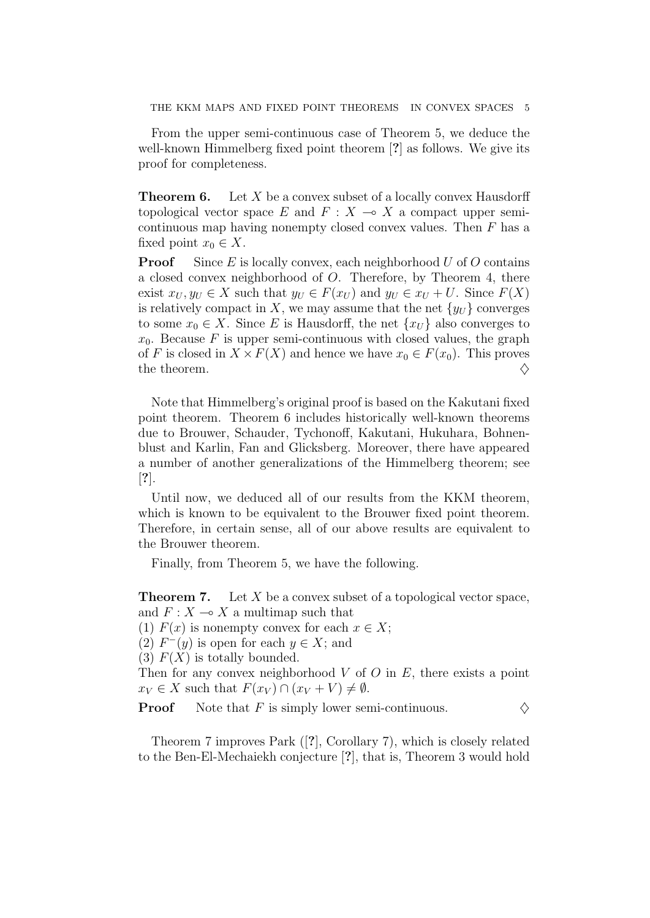From the upper semi-continuous case of Theorem 5, we deduce the well-known Himmelberg fixed point theorem [**?**] as follows. We give its proof for completeness.

**Theorem 6.** Let *X* be a convex subset of a locally convex Hausdorff topological vector space  $E$  and  $F: X \to X$  a compact upper semicontinuous map having nonempty closed convex values. Then *F* has a fixed point  $x_0 \in X$ .

**Proof** Since *E* is locally convex, each neighborhood *U* of *O* contains a closed convex neighborhood of *O*. Therefore, by Theorem 4, there exist  $x_U, y_U \in X$  such that  $y_U \in F(x_U)$  and  $y_U \in x_U + U$ . Since  $F(X)$ is relatively compact in X, we may assume that the net  $\{y_U\}$  converges to some  $x_0 \in X$ . Since *E* is Hausdorff, the net  $\{x_U\}$  also converges to  $x_0$ . Because *F* is upper semi-continuous with closed values, the graph of *F* is closed in  $X \times F(X)$  and hence we have  $x_0 \in F(x_0)$ . This proves the theorem. *♢*

Note that Himmelberg's original proof is based on the Kakutani fixed point theorem. Theorem 6 includes historically well-known theorems due to Brouwer, Schauder, Tychonoff, Kakutani, Hukuhara, Bohnenblust and Karlin, Fan and Glicksberg. Moreover, there have appeared a number of another generalizations of the Himmelberg theorem; see [**?**].

Until now, we deduced all of our results from the KKM theorem, which is known to be equivalent to the Brouwer fixed point theorem. Therefore, in certain sense, all of our above results are equivalent to the Brouwer theorem.

Finally, from Theorem 5, we have the following.

**Theorem 7.** Let X be a convex subset of a topological vector space, and  $F: X \longrightarrow X$  a multimap such that

(1)  $F(x)$  is nonempty convex for each  $x \in X$ ;

(2)  $F^{-}(y)$  is open for each  $y \in X$ ; and

(3)  $F(X)$  is totally bounded.

Then for any convex neighborhood *V* of *O* in *E*, there exists a point  $x_V \in X$  such that  $F(x_V) \cap (x_V + V) \neq \emptyset$ .

**Proof** Note that *F* is simply lower semi-continuous.  $\diamondsuit$ 

Theorem 7 improves Park ([**?**], Corollary 7), which is closely related to the Ben-El-Mechaiekh conjecture [**?**], that is, Theorem 3 would hold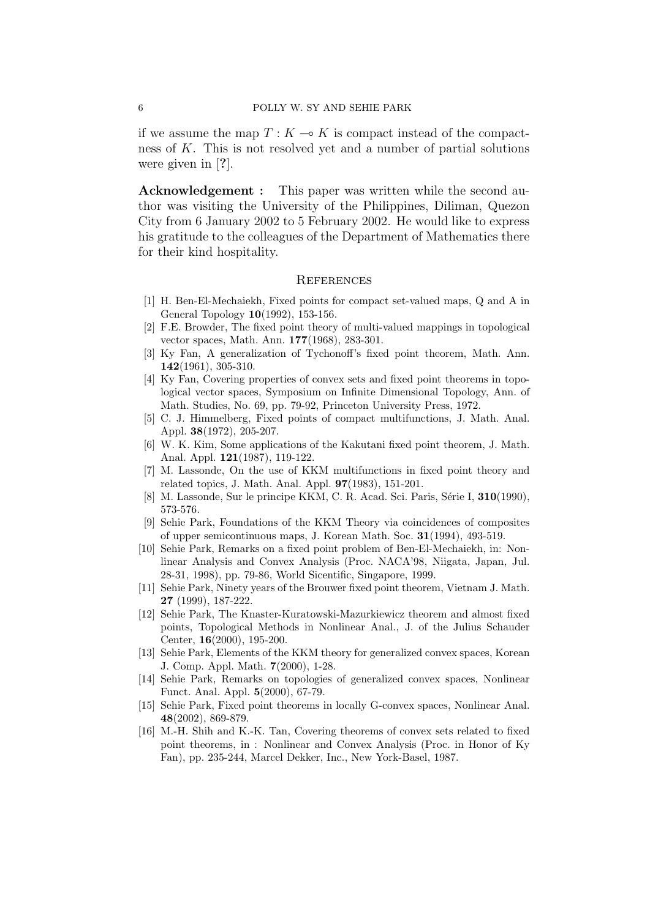if we assume the map  $T: K \longrightarrow K$  is compact instead of the compactness of *K*. This is not resolved yet and a number of partial solutions were given in [**?**].

**Acknowledgement :** This paper was written while the second author was visiting the University of the Philippines, Diliman, Quezon City from 6 January 2002 to 5 February 2002. He would like to express his gratitude to the colleagues of the Department of Mathematics there for their kind hospitality.

## **REFERENCES**

- [1] H. Ben-El-Mechaiekh, Fixed points for compact set-valued maps, Q and A in General Topology **10**(1992), 153-156.
- [2] F.E. Browder, The fixed point theory of multi-valued mappings in topological vector spaces, Math. Ann. **177**(1968), 283-301.
- [3] Ky Fan, A generalization of Tychonoff's fixed point theorem, Math. Ann. **142**(1961), 305-310.
- [4] Ky Fan, Covering properties of convex sets and fixed point theorems in topological vector spaces, Symposium on Infinite Dimensional Topology, Ann. of Math. Studies, No. 69, pp. 79-92, Princeton University Press, 1972.
- [5] C. J. Himmelberg, Fixed points of compact multifunctions, J. Math. Anal. Appl. **38**(1972), 205-207.
- [6] W. K. Kim, Some applications of the Kakutani fixed point theorem, J. Math. Anal. Appl. **121**(1987), 119-122.
- [7] M. Lassonde, On the use of KKM multifunctions in fixed point theory and related topics, J. Math. Anal. Appl. **97**(1983), 151-201.
- [8] M. Lassonde, Sur le principe KKM, C. R. Acad. Sci. Paris, S´erie I, **310**(1990), 573-576.
- [9] Sehie Park, Foundations of the KKM Theory via coincidences of composites of upper semicontinuous maps, J. Korean Math. Soc. **31**(1994), 493-519.
- [10] Sehie Park, Remarks on a fixed point problem of Ben-El-Mechaiekh, in: Nonlinear Analysis and Convex Analysis (Proc. NACA'98, Niigata, Japan, Jul. 28-31, 1998), pp. 79-86, World Sicentific, Singapore, 1999.
- [11] Sehie Park, Ninety years of the Brouwer fixed point theorem, Vietnam J. Math. **27** (1999), 187-222.
- [12] Sehie Park, The Knaster-Kuratowski-Mazurkiewicz theorem and almost fixed points, Topological Methods in Nonlinear Anal., J. of the Julius Schauder Center, **16**(2000), 195-200.
- [13] Sehie Park, Elements of the KKM theory for generalized convex spaces, Korean J. Comp. Appl. Math. **7**(2000), 1-28.
- [14] Sehie Park, Remarks on topologies of generalized convex spaces, Nonlinear Funct. Anal. Appl. **5**(2000), 67-79.
- [15] Sehie Park, Fixed point theorems in locally G-convex spaces, Nonlinear Anal. **48**(2002), 869-879.
- [16] M.-H. Shih and K.-K. Tan, Covering theorems of convex sets related to fixed point theorems, in : Nonlinear and Convex Analysis (Proc. in Honor of Ky Fan), pp. 235-244, Marcel Dekker, Inc., New York-Basel, 1987.